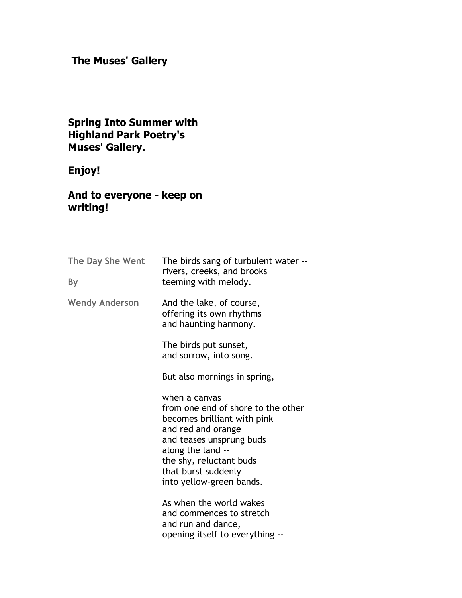# **The Muses' Gallery**

#### **Spring Into Summer with Highland Park Poetry's Muses' Gallery.**

# **Enjoy!**

### **And to everyone - keep on writing!**

| The Day She Went<br>By | The birds sang of turbulent water --<br>rivers, creeks, and brooks<br>teeming with melody.                                                                                                                                              |
|------------------------|-----------------------------------------------------------------------------------------------------------------------------------------------------------------------------------------------------------------------------------------|
| <b>Wendy Anderson</b>  | And the lake, of course,<br>offering its own rhythms<br>and haunting harmony.                                                                                                                                                           |
|                        | The birds put sunset,<br>and sorrow, into song.                                                                                                                                                                                         |
|                        | But also mornings in spring,                                                                                                                                                                                                            |
|                        | when a canvas<br>from one end of shore to the other<br>becomes brilliant with pink<br>and red and orange<br>and teases unsprung buds<br>along the land --<br>the shy, reluctant buds<br>that burst suddenly<br>into yellow-green bands. |
|                        | As when the world wakes<br>and commences to stretch<br>and run and dance,<br>opening itself to everything --                                                                                                                            |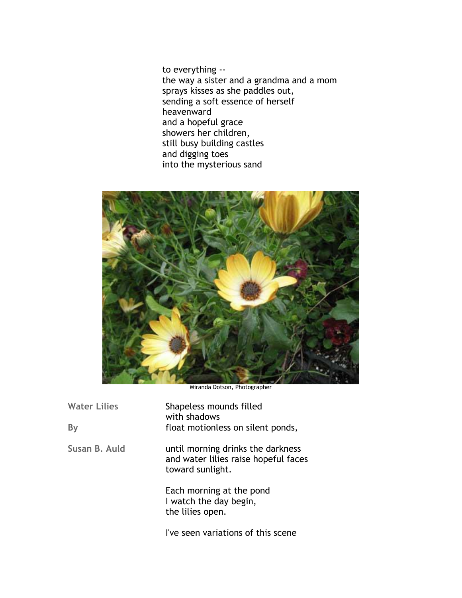to everything - the way a sister and a grandma and a mom sprays kisses as she paddles out, sending a soft essence of herself heavenward and a hopeful grace showers her children, still busy building castles and digging toes into the mysterious sand



Miranda Dotson, Photographer

| <b>Water Lilies</b> | Shapeless mounds filled<br>with shadows<br>float motionless on silent ponds,                  |
|---------------------|-----------------------------------------------------------------------------------------------|
| By                  |                                                                                               |
| Susan B. Auld       | until morning drinks the darkness<br>and water lilies raise hopeful faces<br>toward sunlight. |
|                     | Each morning at the pond<br>I watch the day begin,<br>the lilies open.                        |

I've seen variations of this scene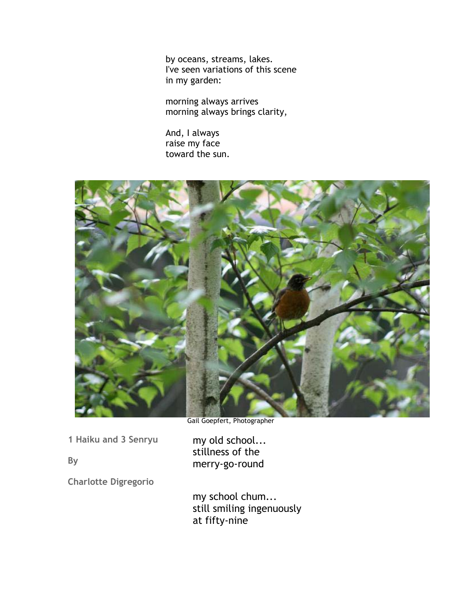by oceans, streams, lakes. I've seen variations of this scene in my garden:

morning always arrives morning always brings clarity,

And, I always raise my face toward the sun.



Gail Goepfert, Photographer

my old school... stillness of the

**1 Haiku and 3 Senryu** 

**By** 

merry-go-round

**Charlotte Digregorio** 

my school chum... still smiling ingenuously at fifty-nine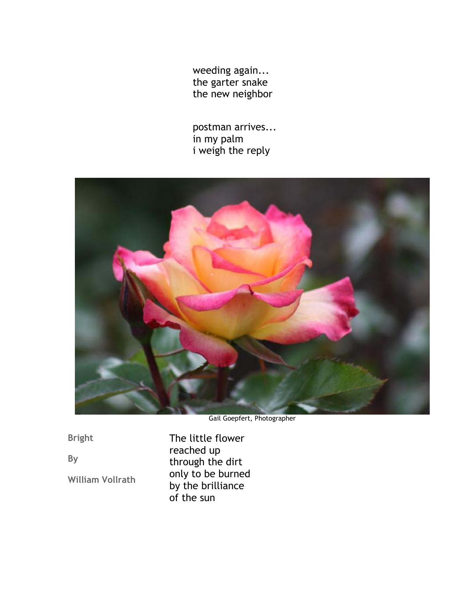weeding again... the garter snake the new neighbor

postman arrives... in my palm i weigh the reply



Gail Goepfert, Photographer

**Bright** 

**By** 

**William Vollrath** 

The little flower reached up through the dirt only to be burned by the brilliance of the sun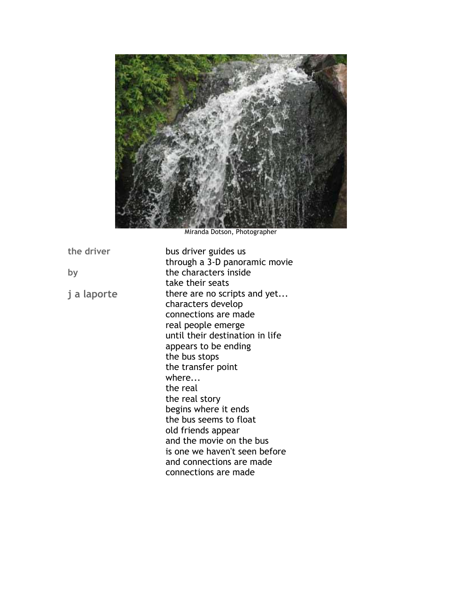

Miranda Dotson, Photographer

**the driver by j a laporte** bus driver guides us through a 3-D panoramic movie the characters inside take their seats there are no scripts and yet... characters develop connections are made real people emerge until their destination in life appears to be ending the bus stops the transfer point where... the real the real story begins where it ends the bus seems to float old friends appear and the movie on the bus is one we haven't seen before and connections are made connections are made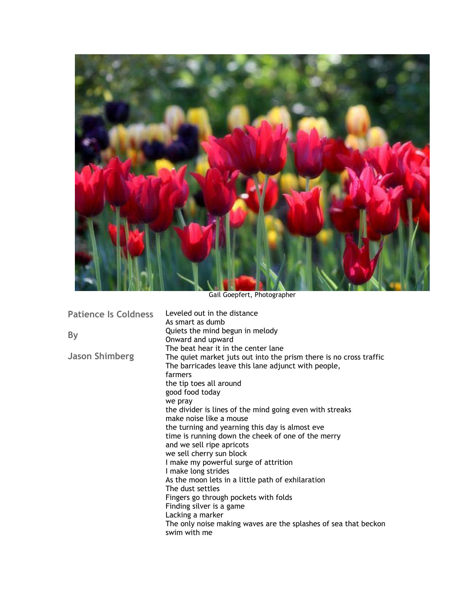

Gail Goepfert, Photographer

| <b>Patience Is Coldness</b> | Leveled out in the distance                                        |
|-----------------------------|--------------------------------------------------------------------|
|                             | As smart as dumb                                                   |
| <b>By</b>                   | Quiets the mind begun in melody                                    |
|                             | Onward and upward                                                  |
|                             | The beat hear it in the center lane                                |
| <b>Jason Shimberg</b>       | The quiet market juts out into the prism there is no cross traffic |
|                             | The barricades leave this lane adjunct with people,                |
|                             | farmers                                                            |
|                             | the tip toes all around                                            |
|                             | good food today                                                    |
|                             | we pray                                                            |
|                             | the divider is lines of the mind going even with streaks           |
|                             | make noise like a mouse                                            |
|                             | the turning and yearning this day is almost eve                    |
|                             | time is running down the cheek of one of the merry                 |
|                             | and we sell ripe apricots                                          |
|                             | we sell cherry sun block                                           |
|                             | I make my powerful surge of attrition                              |
|                             | I make long strides                                                |
|                             | As the moon lets in a little path of exhilaration                  |
|                             | The dust settles                                                   |
|                             | Fingers go through pockets with folds                              |
|                             | Finding silver is a game                                           |
|                             |                                                                    |
|                             | Lacking a marker                                                   |
|                             | The only noise making waves are the splashes of sea that beckon    |
|                             | swim with me                                                       |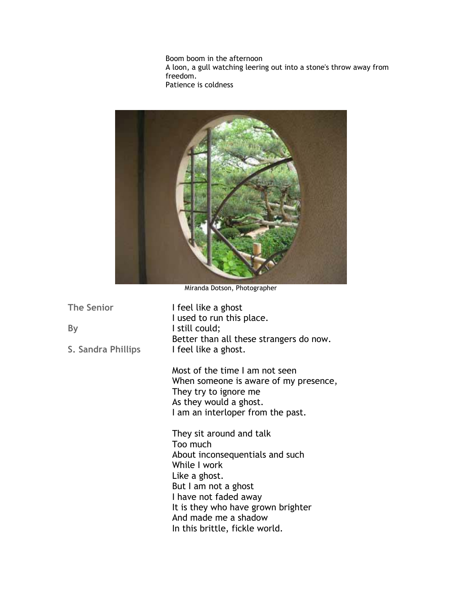Boom boom in the afternoon A loon, a gull watching leering out into a stone's throw away from freedom. Patience is coldness



Miranda Dotson, Photographer

**The Senior** 

**By** 

**S. Sandra Phillips** 

I feel like a ghost I used to run this place. I still could; Better than all these strangers do now. I feel like a ghost.

Most of the time I am not seen When someone is aware of my presence, They try to ignore me As they would a ghost. I am an interloper from the past.

They sit around and talk Too much About inconsequentials and such While I work Like a ghost. But I am not a ghost I have not faded away It is they who have grown brighter And made me a shadow In this brittle, fickle world.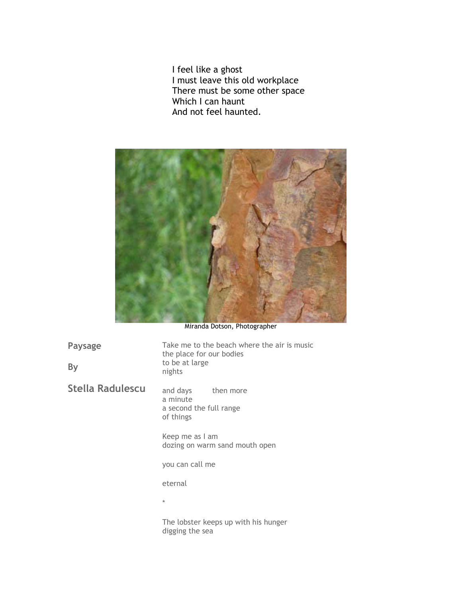I feel like a ghost I must leave this old workplace There must be some other space Which I can haunt And not feel haunted.



Miranda Dotson, Photographer

| <b>Paysage</b><br>By | Take me to the beach where the air is music<br>the place for our bodies<br>to be at large<br>nights |
|----------------------|-----------------------------------------------------------------------------------------------------|
| Stella Radulescu     | and days then more<br>a minute<br>a second the full range<br>of things                              |
|                      | Keep me as I am<br>dozing on warm sand mouth open                                                   |
|                      | you can call me                                                                                     |
|                      | eternal                                                                                             |
|                      | $\star$                                                                                             |
|                      | The lobster keeps up with his hunger<br>digging the sea                                             |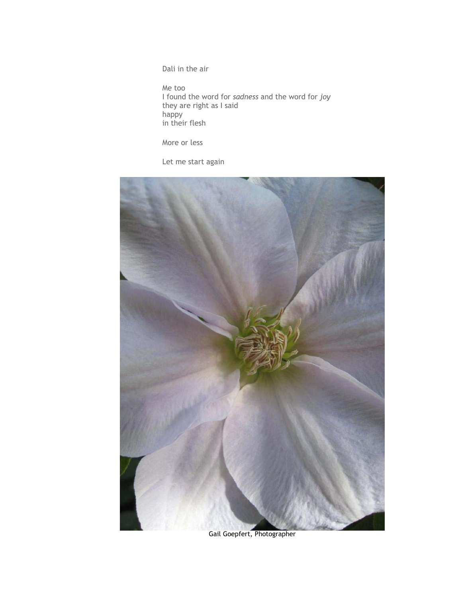Dali in the air

Me too I found the word for *sadness* and the word for *joy* they are right as I said happy in their flesh

More or less

Let me start again



Gail Goepfert, Photographer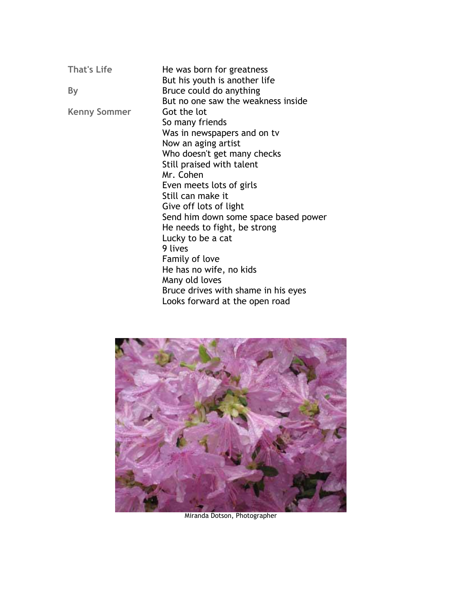**That's Life By Kenny Sommer**  He was born for greatness But his youth is another life Bruce could do anything But no one saw the weakness inside Got the lot So many friends Was in newspapers and on tv Now an aging artist Who doesn't get many checks Still praised with talent Mr. Cohen Even meets lots of girls Still can make it Give off lots of light Send him down some space based power He needs to fight, be strong Lucky to be a cat 9 lives Family of love He has no wife, no kids Many old loves Bruce drives with shame in his eyes Looks forward at the open road



Miranda Dotson, Photographer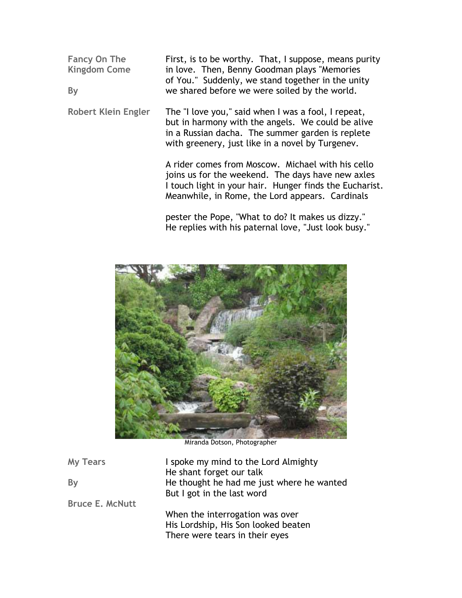**Fancy On The Kingdom Come By**  First, is to be worthy. That, I suppose, means purity in love. Then, Benny Goodman plays "Memories of You." Suddenly, we stand together in the unity we shared before we were soiled by the world.

**Robert Klein Engler**  The "I love you," said when I was a fool, I repeat, but in harmony with the angels. We could be alive in a Russian dacha. The summer garden is replete with greenery, just like in a novel by Turgenev.

> A rider comes from Moscow. Michael with his cello joins us for the weekend. The days have new axles I touch light in your hair. Hunger finds the Eucharist. Meanwhile, in Rome, the Lord appears. Cardinals

pester the Pope, "What to do? It makes us dizzy." He replies with his paternal love, "Just look busy."



Miranda Dotson, Photographer

| <b>My Tears</b><br>By  | I spoke my mind to the Lord Almighty<br>He shant forget our talk<br>He thought he had me just where he wanted<br>But I got in the last word |
|------------------------|---------------------------------------------------------------------------------------------------------------------------------------------|
| <b>Bruce E. McNutt</b> | When the interrogation was over<br>His Lordship, His Son looked beaten<br>There were tears in their eyes                                    |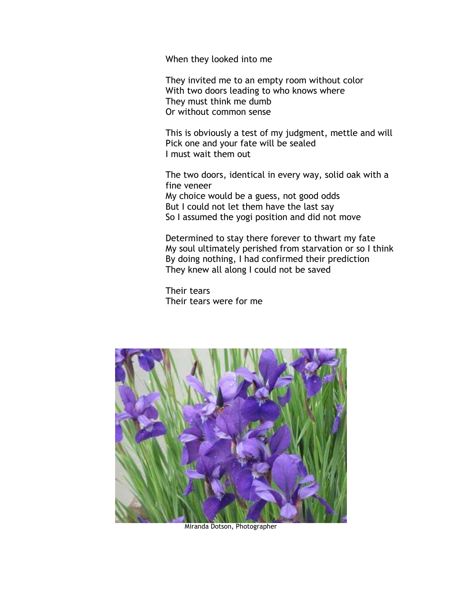When they looked into me

They invited me to an empty room without color With two doors leading to who knows where They must think me dumb Or without common sense

This is obviously a test of my judgment, mettle and will Pick one and your fate will be sealed I must wait them out

The two doors, identical in every way, solid oak with a fine veneer My choice would be a guess, not good odds But I could not let them have the last say So I assumed the yogi position and did not move

Determined to stay there forever to thwart my fate My soul ultimately perished from starvation or so I think By doing nothing, I had confirmed their prediction They knew all along I could not be saved

Their tears Their tears were for me



Miranda Dotson, Photographer